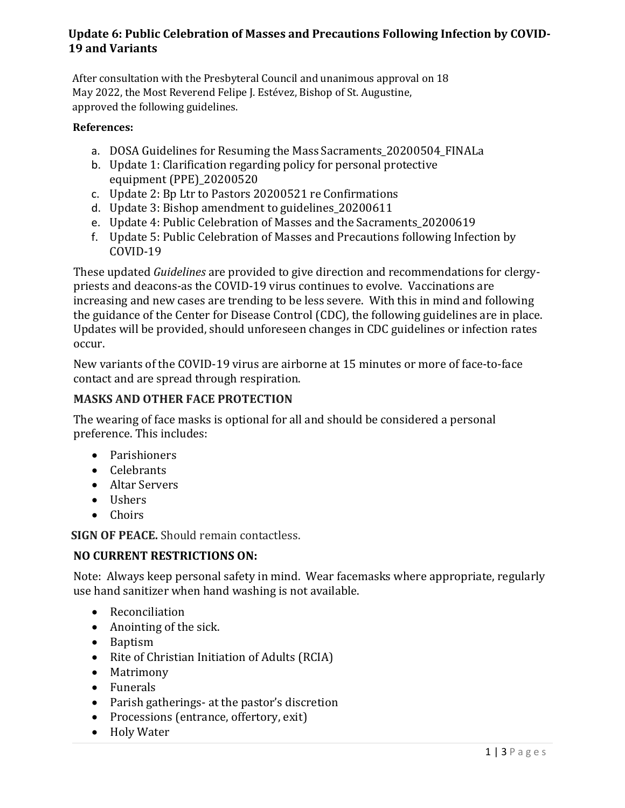## **Update 6: Public Celebration of Masses and Precautions Following Infection by COVID-19 and Variants**

After consultation with the Presbyteral Council and unanimous approval on 18 May 2022, the Most Reverend Felipe J. Estévez, Bishop of St. Augustine, approved the following guidelines.

#### **References:**

- a. DOSA Guidelines for Resuming the Mass Sacraments 20200504 FINALa
- b. Update 1: Clarification regarding policy for personal protective equipment (PPE)\_20200520
- c. Update 2: Bp Ltr to Pastors 20200521 re Confirmations
- d. Update 3: Bishop amendment to guidelines\_20200611
- e. Update 4: Public Celebration of Masses and the Sacraments\_20200619
- f. Update 5: Public Celebration of Masses and Precautions following Infection by COVID-19

These updated *Guidelines* are provided to give direction and recommendations for clergypriests and deacons-as the COVID-19 virus continues to evolve. Vaccinations are increasing and new cases are trending to be less severe. With this in mind and following the guidance of the Center for Disease Control (CDC), the following guidelines are in place. Updates will be provided, should unforeseen changes in CDC guidelines or infection rates occur.

New variants of the COVID-19 virus are airborne at 15 minutes or more of face-to-face contact and are spread through respiration.

## **MASKS AND OTHER FACE PROTECTION**

The wearing of face masks is optional for all and should be considered a personal preference. This includes:

- Parishioners
- Celebrants
- Altar Servers
- Ushers
- Choirs

**SIGN OF PEACE.** Should remain contactless.

#### **NO CURRENT RESTRICTIONS ON:**

Note: Always keep personal safety in mind. Wear facemasks where appropriate, regularly use hand sanitizer when hand washing is not available.

- Reconciliation
- Anointing of the sick.
- Baptism
- Rite of Christian Initiation of Adults (RCIA)
- Matrimony
- Funerals
- Parish gatherings- at the pastor's discretion
- Processions (entrance, offertory, exit)
- Holy Water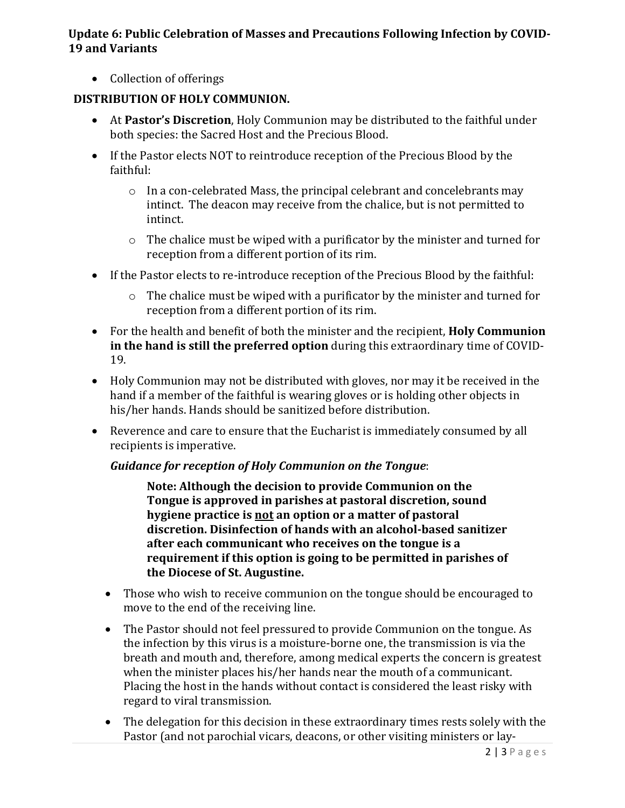### **Update 6: Public Celebration of Masses and Precautions Following Infection by COVID-19 and Variants**

• Collection of offerings

## **DISTRIBUTION OF HOLY COMMUNION.**

- At **Pastor's Discretion**, Holy Communion may be distributed to the faithful under both species: the Sacred Host and the Precious Blood.
- If the Pastor elects NOT to reintroduce reception of the Precious Blood by the faithful:
	- o In a con-celebrated Mass, the principal celebrant and concelebrants may intinct. The deacon may receive from the chalice, but is not permitted to intinct.
	- o The chalice must be wiped with a purificator by the minister and turned for reception from a different portion of its rim.
- If the Pastor elects to re-introduce reception of the Precious Blood by the faithful:
	- o The chalice must be wiped with a purificator by the minister and turned for reception from a different portion of its rim.
- For the health and benefit of both the minister and the recipient, **Holy Communion in the hand is still the preferred option** during this extraordinary time of COVID-19.
- Holy Communion may not be distributed with gloves, nor may it be received in the hand if a member of the faithful is wearing gloves or is holding other objects in his/her hands. Hands should be sanitized before distribution.
- Reverence and care to ensure that the Eucharist is immediately consumed by all recipients is imperative.

#### *Guidance for reception of Holy Communion on the Tongue*:

**Note: Although the decision to provide Communion on the Tongue is approved in parishes at pastoral discretion, sound hygiene practice is not an option or a matter of pastoral discretion. Disinfection of hands with an alcohol-based sanitizer after each communicant who receives on the tongue is a requirement if this option is going to be permitted in parishes of the Diocese of St. Augustine.**

- Those who wish to receive communion on the tongue should be encouraged to move to the end of the receiving line.
- The Pastor should not feel pressured to provide Communion on the tongue. As the infection by this virus is a moisture-borne one, the transmission is via the breath and mouth and, therefore, among medical experts the concern is greatest when the minister places his/her hands near the mouth of a communicant. Placing the host in the hands without contact is considered the least risky with regard to viral transmission.
- The delegation for this decision in these extraordinary times rests solely with the Pastor (and not parochial vicars, deacons, or other visiting ministers or lay-